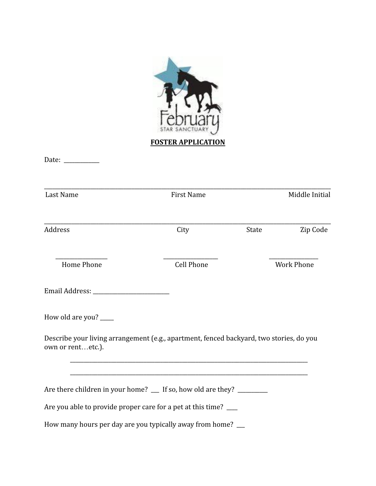

Date: \_\_\_\_\_\_\_\_\_\_\_\_\_

| Last Name                                                                                                    | <b>First Name</b> | Middle Initial |                   |
|--------------------------------------------------------------------------------------------------------------|-------------------|----------------|-------------------|
| <b>Address</b>                                                                                               | City              | <b>State</b>   | Zip Code          |
| <b>Home Phone</b>                                                                                            | <b>Cell Phone</b> |                | <b>Work Phone</b> |
|                                                                                                              |                   |                |                   |
| How old are you? ____                                                                                        |                   |                |                   |
| Describe your living arrangement (e.g., apartment, fenced backyard, two stories, do you<br>own or rentetc.). |                   |                |                   |
| Are there children in your home? __ If so, how old are they? _________                                       |                   |                |                   |
| Are you able to provide proper care for a pet at this time? ___                                              |                   |                |                   |
| How many hours per day are you typically away from home? __                                                  |                   |                |                   |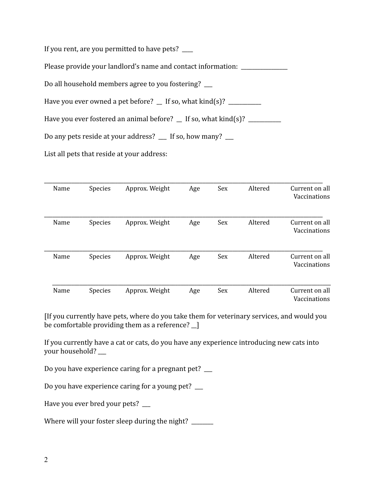If you rent, are you permitted to have pets?

Please provide your landlord's name and contact information: \_\_\_\_\_\_\_\_\_\_\_\_\_\_\_\_\_\_\_

Do all household members agree to you fostering? \_\_\_

Have you ever owned a pet before?  $\angle$  If so, what kind(s)?  $\angle$ 

Have you ever fostered an animal before?  $\Gamma$  If so, what kind(s)?  $\Gamma$ 

Do any pets reside at your address? \_\_ If so, how many? \_\_

List all pets that reside at your address:

| Name | <b>Species</b> | Approx. Weight | Age | Sex | Altered | Current on all<br>Vaccinations |
|------|----------------|----------------|-----|-----|---------|--------------------------------|
| Name | <b>Species</b> | Approx. Weight | Age | Sex | Altered | Current on all<br>Vaccinations |
| Name | Species        | Approx. Weight | Age | Sex | Altered | Current on all<br>Vaccinations |
| Name | Species        | Approx. Weight | Age | Sex | Altered | Current on all<br>Vaccinations |

[If you currently have pets, where do you take them for veterinary services, and would you be comfortable providing them as a reference?  $\Box$ 

If you currently have a cat or cats, do you have any experience introducing new cats into your household? \_\_\_

Do you have experience caring for a pregnant pet?

Do you have experience caring for a young pet? \_\_\_

Have you ever bred your pets? \_\_\_

Where will your foster sleep during the night? \_\_\_\_\_\_\_